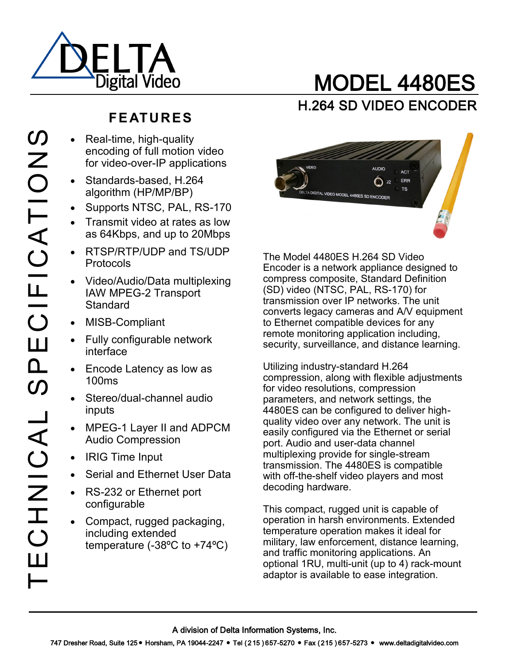

# MODEL 4480ES H.264 SD VIDEO ENCODER

## **FE ATURES**

- Real-time, high-quality encoding of full motion video for video-over-IP applications
	- Standards-based, H.264 algorithm (HP/MP/BP)
	- Supports NTSC, PAL, RS-170
	- Transmit video at rates as low as 64Kbps, and up to 20Mbps
	- RTSP/RTP/UDP and TS/UDP **Protocols**
	- Video/Audio/Data multiplexing IAW MPEG-2 Transport **Standard**
- MISB-Compliant
- Fully configurable network interface
- Encode Latency as low as 100ms
- Stereo/dual-channel audio inputs
- MPEG-1 Layer II and ADPCM Audio Compression
- IRIG Time Input
- Serial and Ethernet User Data
- RS-232 or Ethernet port configurable
- Compact, rugged packaging, including extended temperature (-38ºC to +74ºC)



The Model 4480ES H.264 SD Video Encoder is a network appliance designed to compress composite, Standard Definition (SD) video (NTSC, PAL, RS-170) for transmission over IP networks. The unit converts legacy cameras and A/V equipment to Ethernet compatible devices for any remote monitoring application including, security, surveillance, and distance learning.

Utilizing industry-standard H.264 compression, along with flexible adjustments for video resolutions, compression parameters, and network settings, the 4480ES can be configured to deliver highquality video over any network. The unit is easily configured via the Ethernet or serial port. Audio and user-data channel multiplexing provide for single-stream transmission. The 4480ES is compatible with off-the-shelf video players and most decoding hardware.

This compact, rugged unit is capable of operation in harsh environments. Extended temperature operation makes it ideal for military, law enforcement, distance learning, and traffic monitoring applications. An optional 1RU, multi-unit (up to 4) rack-mount adaptor is available to ease integration.

A division of Delta Information Systems, Inc.